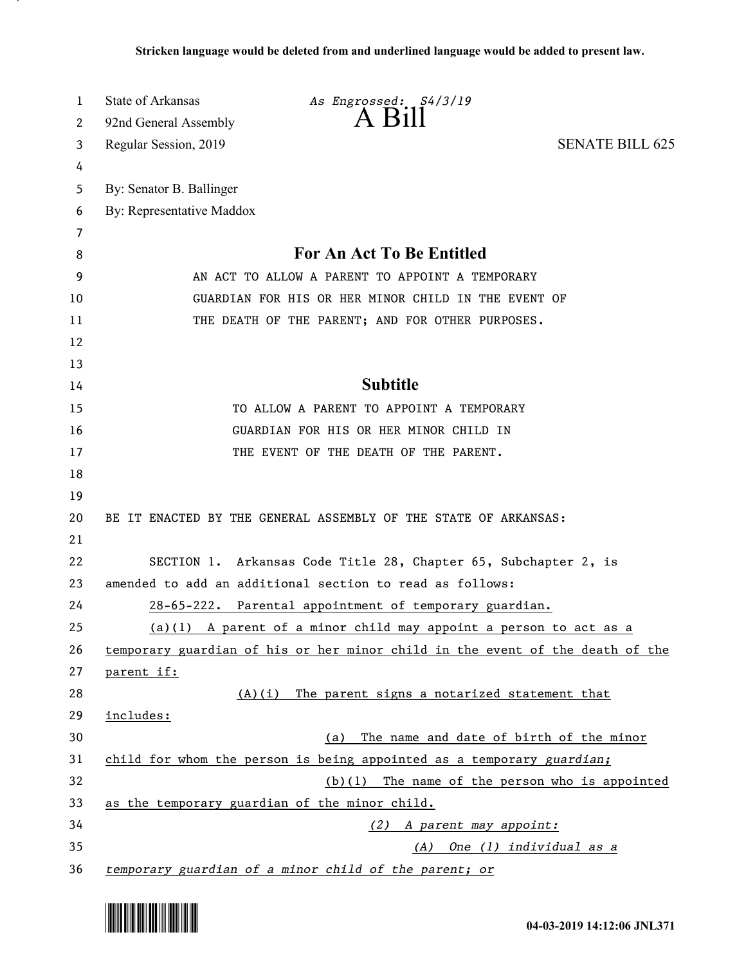| 1  | State of Arkansas<br>As Engrossed: S4/3/19                                    |
|----|-------------------------------------------------------------------------------|
| 2  | $A$ $H11$<br>92nd General Assembly                                            |
| 3  | Regular Session, 2019<br><b>SENATE BILL 625</b>                               |
| 4  |                                                                               |
| 5  | By: Senator B. Ballinger                                                      |
| 6  | By: Representative Maddox                                                     |
| 7  |                                                                               |
| 8  | <b>For An Act To Be Entitled</b>                                              |
| 9  | AN ACT TO ALLOW A PARENT TO APPOINT A TEMPORARY                               |
| 10 | GUARDIAN FOR HIS OR HER MINOR CHILD IN THE EVENT OF                           |
| 11 | THE DEATH OF THE PARENT; AND FOR OTHER PURPOSES.                              |
| 12 |                                                                               |
| 13 |                                                                               |
| 14 | <b>Subtitle</b>                                                               |
| 15 | TO ALLOW A PARENT TO APPOINT A TEMPORARY                                      |
| 16 | GUARDIAN FOR HIS OR HER MINOR CHILD IN                                        |
| 17 | THE EVENT OF THE DEATH OF THE PARENT.                                         |
| 18 |                                                                               |
| 19 |                                                                               |
| 20 | BE IT ENACTED BY THE GENERAL ASSEMBLY OF THE STATE OF ARKANSAS:               |
| 21 |                                                                               |
| 22 | SECTION 1. Arkansas Code Title 28, Chapter 65, Subchapter 2, is               |
| 23 | amended to add an additional section to read as follows:                      |
| 24 | 28-65-222. Parental appointment of temporary guardian.                        |
| 25 | (a)(1) A parent of a minor child may appoint a person to act as a             |
| 26 | temporary guardian of his or her minor child in the event of the death of the |
| 27 | parent if:                                                                    |
| 28 | (A)(i) The parent signs a notarized statement that                            |
| 29 | includes:                                                                     |
| 30 | The name and date of birth of the minor<br>(a)                                |
| 31 | child for whom the person is being appointed as a temporary guardian;         |
| 32 | $(b)(1)$ The name of the person who is appointed                              |
| 33 | as the temporary guardian of the minor child.                                 |
| 34 | (2) A parent may appoint:                                                     |
| 35 | (A) One (1) individual as a                                                   |
| 36 | temporary guardian of a minor child of the parent; or                         |

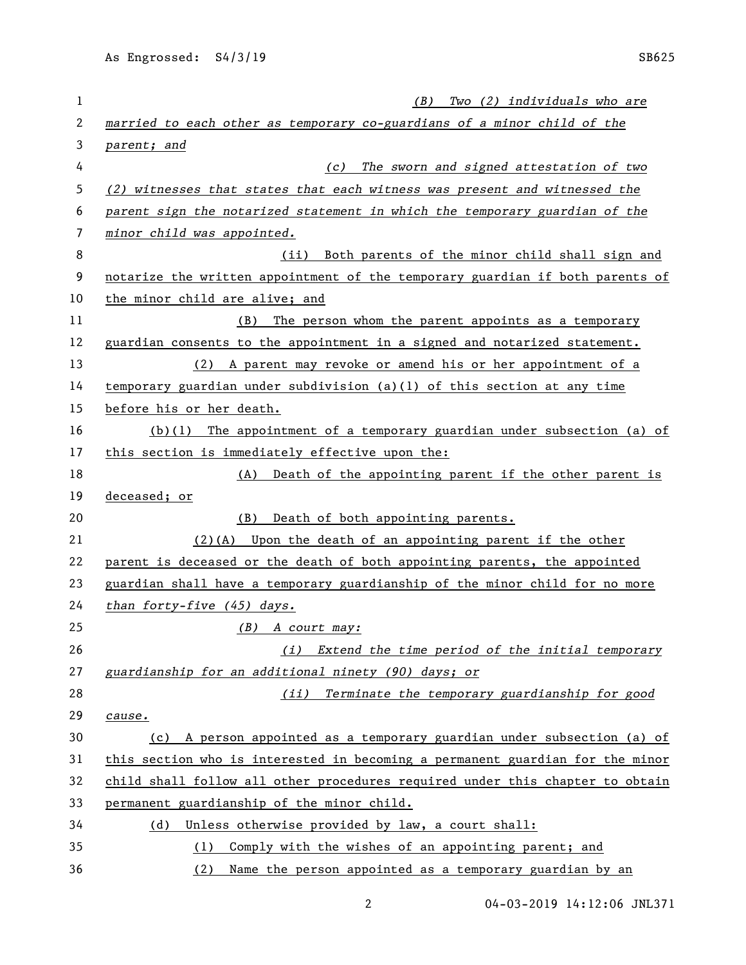| 1  | Two (2) individuals who are<br>(B)                                            |
|----|-------------------------------------------------------------------------------|
| 2  | married to each other as temporary co-guardians of a minor child of the       |
| 3  | parent; and                                                                   |
| 4  | The sworn and signed attestation of two<br>(c)                                |
| 5  | (2) witnesses that states that each witness was present and witnessed the     |
| 6  | parent sign the notarized statement in which the temporary guardian of the    |
| 7  | minor child was appointed.                                                    |
| 8  | Both parents of the minor child shall sign and<br>(iii)                       |
| 9  | notarize the written appointment of the temporary guardian if both parents of |
| 10 | the minor child are alive; and                                                |
| 11 | (B) The person whom the parent appoints as a temporary                        |
| 12 | guardian consents to the appointment in a signed and notarized statement.     |
| 13 | (2) A parent may revoke or amend his or her appointment of a                  |
| 14 | temporary guardian under subdivision (a)(1) of this section at any time       |
| 15 | before his or her death.                                                      |
| 16 | $(b)(1)$ The appointment of a temporary guardian under subsection (a) of      |
| 17 | this section is immediately effective upon the:                               |
| 18 | (A) Death of the appointing parent if the other parent is                     |
| 19 | deceased; or                                                                  |
| 20 | (B)<br>Death of both appointing parents.                                      |
| 21 | $(2)$ (A) Upon the death of an appointing parent if the other                 |
| 22 | parent is deceased or the death of both appointing parents, the appointed     |
| 23 | guardian shall have a temporary guardianship of the minor child for no more   |
| 24 | than forty-five $(45)$ days.                                                  |
| 25 | $(B)$ A court may:                                                            |
| 26 | (i) Extend the time period of the initial temporary                           |
| 27 | guardianship for an additional ninety (90) days; or                           |
| 28 | (ii) Terminate the temporary guardianship for good                            |
| 29 | cause.                                                                        |
| 30 | (c) A person appointed as a temporary guardian under subsection (a) of        |
| 31 | this section who is interested in becoming a permanent guardian for the minor |
| 32 | child shall follow all other procedures required under this chapter to obtain |
| 33 | permanent guardianship of the minor child.                                    |
| 34 | Unless otherwise provided by law, a court shall:<br>(d)                       |
| 35 | Comply with the wishes of an appointing parent; and<br>(1)                    |
| 36 | Name the person appointed as a temporary guardian by an<br>(2)                |

2 04-03-2019 14:12:06 JNL371